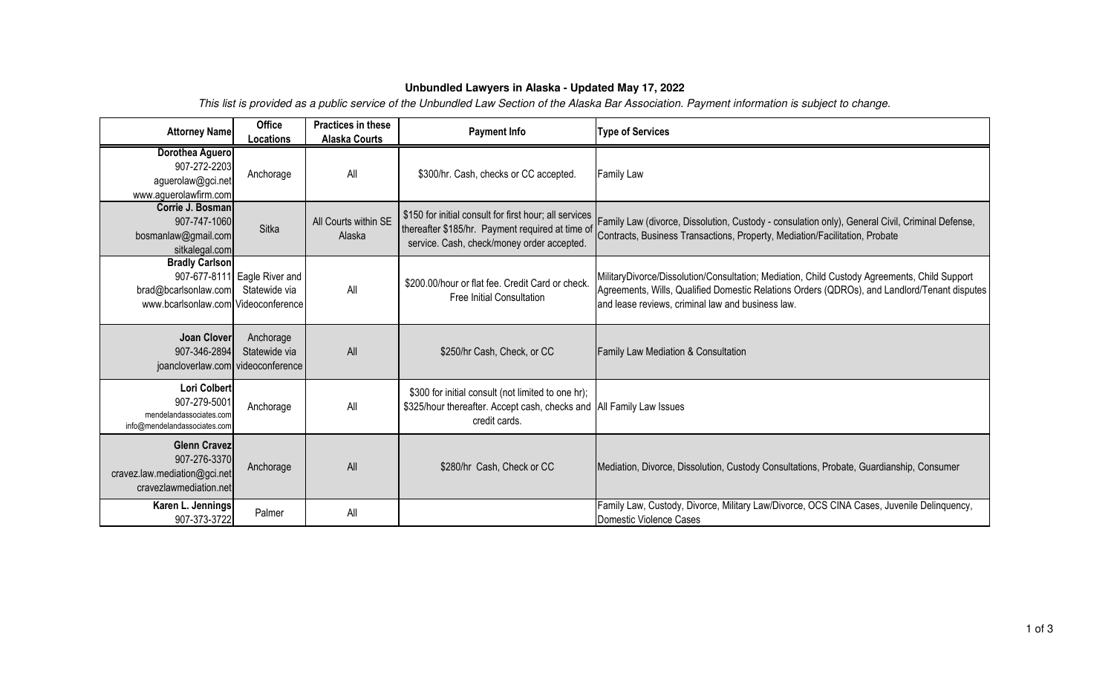## **Unbundled Lawyers in Alaska - Updated May 17, 2022**

This list is provided as a public service of the Unbundled Law Section of the Alaska Bar Association. Payment information is subject to change.

| <b>Attorney Name</b>                                                                          | <b>Office</b><br>Locations                    | Practices in these<br><b>Alaska Courts</b> | <b>Payment Info</b>                                                                                                                                      | <b>Type of Services</b>                                                                                                                                                                                                                           |
|-----------------------------------------------------------------------------------------------|-----------------------------------------------|--------------------------------------------|----------------------------------------------------------------------------------------------------------------------------------------------------------|---------------------------------------------------------------------------------------------------------------------------------------------------------------------------------------------------------------------------------------------------|
| Dorothea Aguero<br>907-272-2203<br>aguerolaw@gci.net<br>www.aguerolawfirm.com                 | Anchorage                                     | All                                        | \$300/hr. Cash, checks or CC accepted.                                                                                                                   | <b>Family Law</b>                                                                                                                                                                                                                                 |
| Corrie J. Bosman<br>907-747-1060<br>bosmanlaw@gmail.com<br>sitkalegal.com                     | <b>Sitka</b>                                  | All Courts within SE<br>Alaska             | \$150 for initial consult for first hour; all services<br>thereafter \$185/hr. Payment required at time of<br>service. Cash, check/money order accepted. | Family Law (divorce, Dissolution, Custody - consulation only), General Civil, Criminal Defense,<br>Contracts, Business Transactions, Property, Mediation/Facilitation, Probate                                                                    |
| <b>Bradly Carlson</b><br>brad@bcarlsonlaw.com<br>www.bcarlsonlaw.com Videoconference          | 907-677-8111 Eagle River and<br>Statewide via | All                                        | \$200.00/hour or flat fee. Credit Card or check.<br><b>Free Initial Consultation</b>                                                                     | MilitaryDivorce/Dissolution/Consultation; Mediation, Child Custody Agreements, Child Support<br>Agreements, Wills, Qualified Domestic Relations Orders (QDROs), and Landlord/Tenant disputes<br>and lease reviews, criminal law and business law. |
| Joan Clover<br>907-346-2894<br>joancloverlaw.com videoconference                              | Anchorage<br>Statewide via                    | All                                        | \$250/hr Cash, Check, or CC                                                                                                                              | Family Law Mediation & Consultation                                                                                                                                                                                                               |
| Lori Colbert<br>907-279-5001<br>mendelandassociates.com<br>info@mendelandassociates.com       | Anchorage                                     | All                                        | \$300 for initial consult (not limited to one hr);<br>\$325/hour thereafter. Accept cash, checks and All Family Law Issues<br>credit cards.              |                                                                                                                                                                                                                                                   |
| <b>Glenn Cravez</b><br>907-276-3370<br>cravez.law.mediation@gci.net<br>cravezlawmediation.net | Anchorage                                     | All                                        | \$280/hr Cash, Check or CC                                                                                                                               | Mediation, Divorce, Dissolution, Custody Consultations, Probate, Guardianship, Consumer                                                                                                                                                           |
| Karen L. Jennings<br>907-373-3722                                                             | Palmer                                        | All                                        |                                                                                                                                                          | Family Law, Custody, Divorce, Military Law/Divorce, OCS CINA Cases, Juvenile Delinquency,<br>Domestic Violence Cases                                                                                                                              |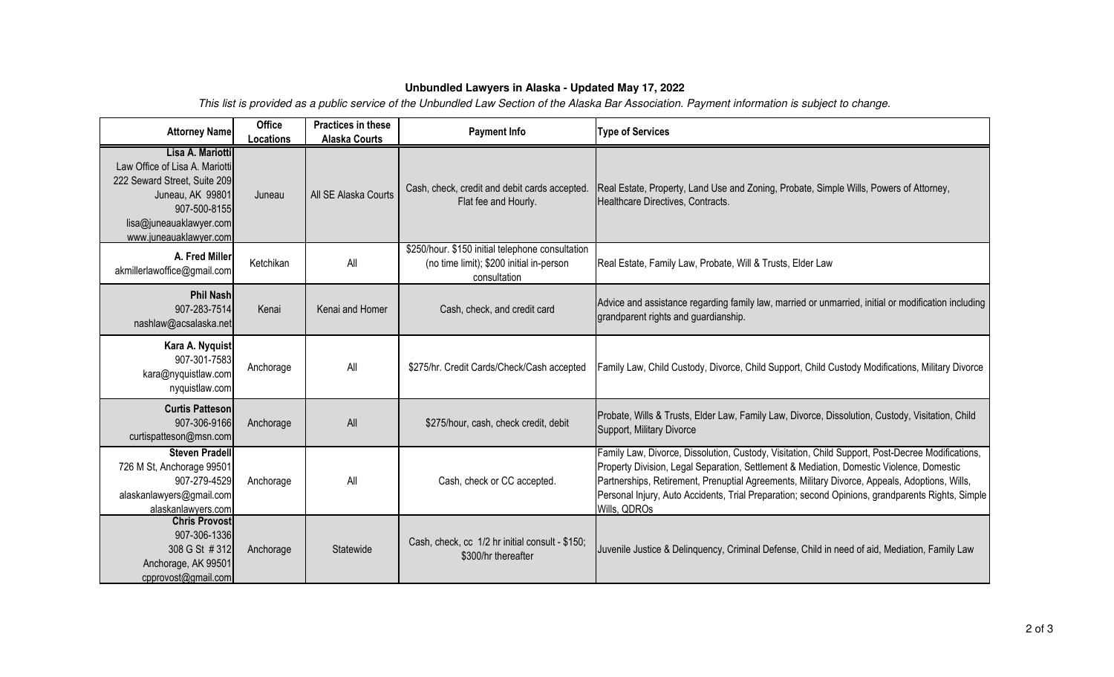## **Unbundled Lawyers in Alaska - Updated May 17, 2022**

This list is provided as a public service of the Unbundled Law Section of the Alaska Bar Association. Payment information is subject to change.

| <b>Attorney Name</b>                                                                                                                                                        | <b>Office</b><br>Locations | Practices in these<br><b>Alaska Courts</b> | <b>Payment Info</b>                                                                                          | <b>Type of Services</b>                                                                                                                                                                                                                                                                                                                                                                                           |
|-----------------------------------------------------------------------------------------------------------------------------------------------------------------------------|----------------------------|--------------------------------------------|--------------------------------------------------------------------------------------------------------------|-------------------------------------------------------------------------------------------------------------------------------------------------------------------------------------------------------------------------------------------------------------------------------------------------------------------------------------------------------------------------------------------------------------------|
| Lisa A. Mariotti<br>Law Office of Lisa A. Mariotti<br>222 Seward Street, Suite 209<br>Juneau, AK 99801<br>907-500-8155<br>lisa@juneauaklawyer.com<br>www.juneauaklawyer.com | Juneau                     | All SE Alaska Courts                       | Cash, check, credit and debit cards accepted.<br>Flat fee and Hourly.                                        | Real Estate, Property, Land Use and Zoning, Probate, Simple Wills, Powers of Attorney,<br>Healthcare Directives, Contracts.                                                                                                                                                                                                                                                                                       |
| A. Fred Miller<br>akmillerlawoffice@gmail.com                                                                                                                               | Ketchikan                  | All                                        | \$250/hour. \$150 initial telephone consultation<br>(no time limit); \$200 initial in-person<br>consultation | Real Estate, Family Law, Probate, Will & Trusts, Elder Law                                                                                                                                                                                                                                                                                                                                                        |
| <b>Phil Nashl</b><br>907-283-7514<br>nashlaw@acsalaska.net                                                                                                                  | Kenai                      | Kenai and Homer                            | Cash, check, and credit card                                                                                 | Advice and assistance regarding family law, married or unmarried, initial or modification including<br>grandparent rights and guardianship.                                                                                                                                                                                                                                                                       |
| Kara A. Nyquist<br>907-301-7583<br>kara@nyquistlaw.com<br>nyquistlaw.com                                                                                                    | Anchorage                  | All                                        | \$275/hr. Credit Cards/Check/Cash accepted                                                                   | Family Law, Child Custody, Divorce, Child Support, Child Custody Modifications, Military Divorce                                                                                                                                                                                                                                                                                                                  |
| <b>Curtis Patteson</b><br>907-306-9166<br>curtispatteson@msn.com                                                                                                            | Anchorage                  | All                                        | \$275/hour, cash, check credit, debit                                                                        | Probate, Wills & Trusts, Elder Law, Family Law, Divorce, Dissolution, Custody, Visitation, Child<br>Support, Military Divorce                                                                                                                                                                                                                                                                                     |
| <b>Steven Pradell</b><br>726 M St, Anchorage 99501<br>907-279-4529<br>alaskanlawyers@gmail.com<br>alaskanlawyers.com                                                        | Anchorage                  | All                                        | Cash, check or CC accepted.                                                                                  | Family Law, Divorce, Dissolution, Custody, Visitation, Child Support, Post-Decree Modifications,<br>Property Division, Legal Separation, Settlement & Mediation, Domestic Violence, Domestic<br>Partnerships, Retirement, Prenuptial Agreements, Military Divorce, Appeals, Adoptions, Wills,<br>Personal Injury, Auto Accidents, Trial Preparation; second Opinions, grandparents Rights, Simple<br>Wills, QDROs |
| <b>Chris Provost</b><br>907-306-1336<br>308 G St # 312<br>Anchorage, AK 99501<br>cpprovost@gmail.com                                                                        | Anchorage                  | Statewide                                  | Cash, check, cc 1/2 hr initial consult - \$150;<br>\$300/hr thereafter                                       | Juvenile Justice & Delinquency, Criminal Defense, Child in need of aid, Mediation, Family Law                                                                                                                                                                                                                                                                                                                     |